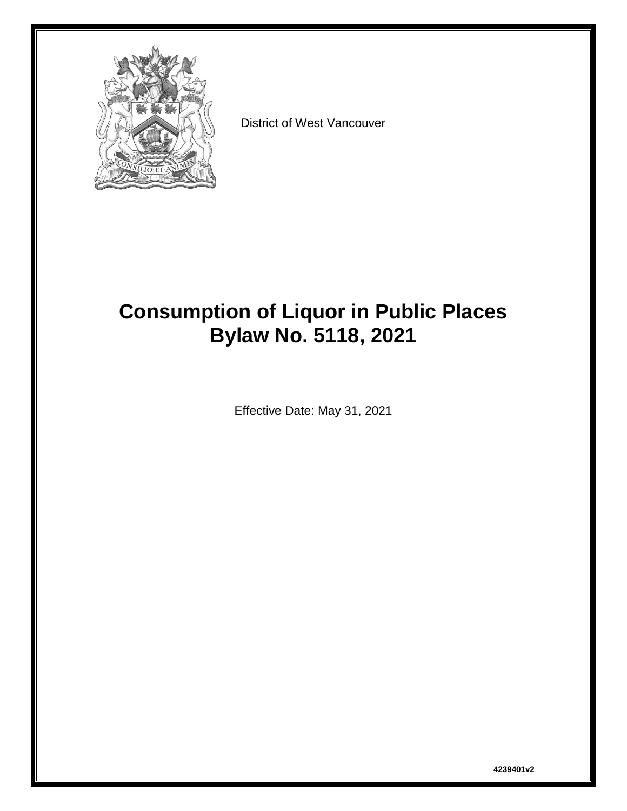

District of West Vancouver

# **Consumption of Liquor in Public Places Bylaw No. 5118, 2021**

Effective Date: May 31, 2021

**4239401v2**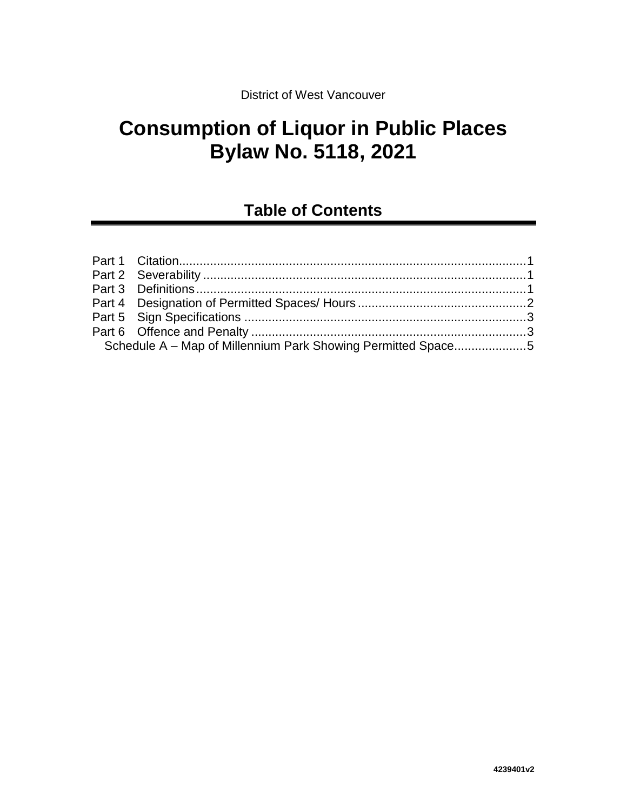# **Consumption of Liquor in Public Places Bylaw No. 5118, 2021**

## **Table of Contents**

| Schedule A - Map of Millennium Park Showing Permitted Space5 |  |
|--------------------------------------------------------------|--|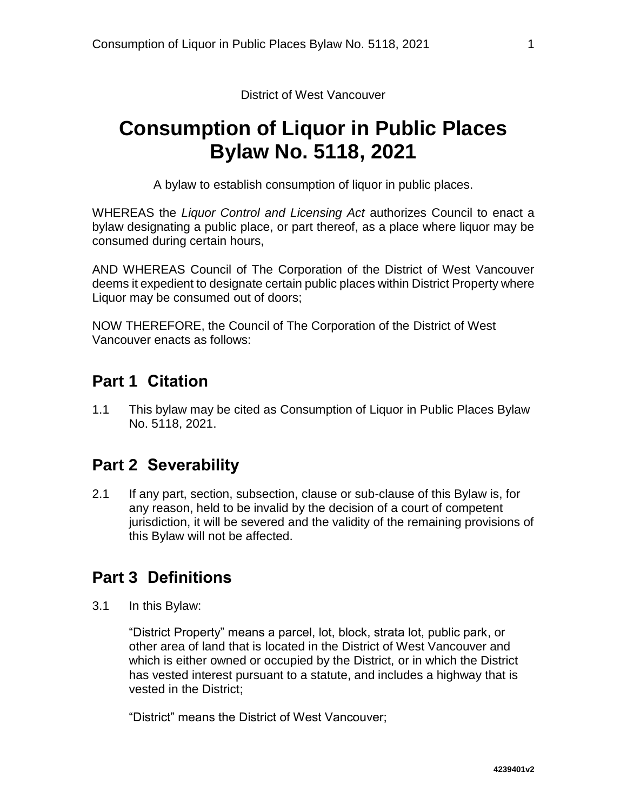District of West Vancouver

# **Consumption of Liquor in Public Places Bylaw No. 5118, 2021**

A bylaw to establish consumption of liquor in public places.

WHEREAS the *Liquor Control and Licensing Act* authorizes Council to enact a bylaw designating a public place, or part thereof, as a place where liquor may be consumed during certain hours,

AND WHEREAS Council of The Corporation of the District of West Vancouver deems it expedient to designate certain public places within District Property where Liquor may be consumed out of doors;

<span id="page-2-0"></span>NOW THEREFORE, the Council of The Corporation of the District of West Vancouver enacts as follows:

#### **Part 1 Citation**

1.1 This bylaw may be cited as Consumption of Liquor in Public Places Bylaw No. 5118, 2021.

#### <span id="page-2-1"></span>**Part 2 Severability**

2.1 If any part, section, subsection, clause or sub-clause of this Bylaw is, for any reason, held to be invalid by the decision of a court of competent jurisdiction, it will be severed and the validity of the remaining provisions of this Bylaw will not be affected.

#### <span id="page-2-2"></span>**Part 3 Definitions**

3.1 In this Bylaw:

"District Property" means a parcel, lot, block, strata lot, public park, or other area of land that is located in the District of West Vancouver and which is either owned or occupied by the District, or in which the District has vested interest pursuant to a statute, and includes a highway that is vested in the District;

"District" means the District of West Vancouver;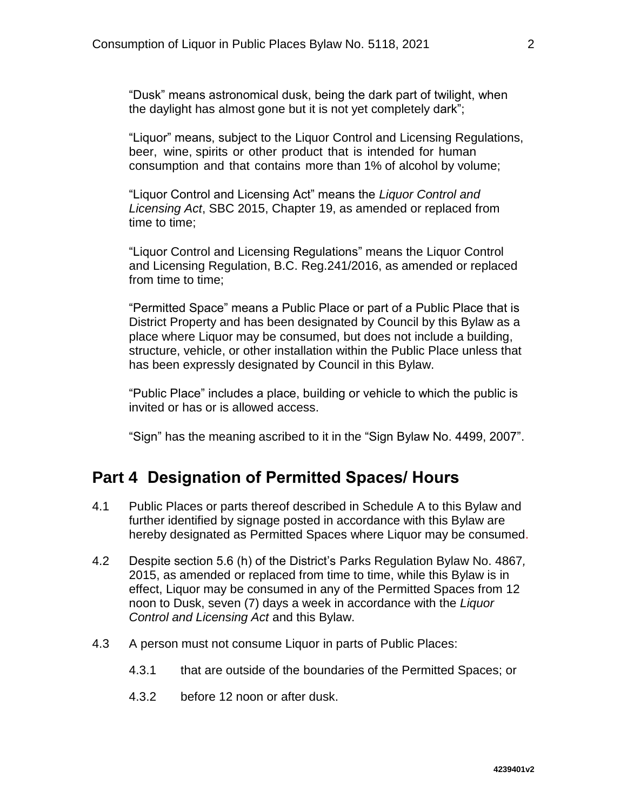"Dusk" means astronomical dusk, being the dark part of twilight, when the daylight has almost gone but it is not yet completely dark";

"Liquor" means, subject to the Liquor Control and Licensing Regulations, beer, wine, spirits or other product that is intended for human consumption and that contains more than 1% of alcohol by volume;

"Liquor Control and Licensing Act" means the *Liquor Control and Licensing Act*, SBC 2015, Chapter 19, as amended or replaced from time to time;

"Liquor Control and Licensing Regulations" means the Liquor Control and Licensing Regulation, B.C. Reg.241/2016, as amended or replaced from time to time;

"Permitted Space" means a Public Place or part of a Public Place that is District Property and has been designated by Council by this Bylaw as a place where Liquor may be consumed, but does not include a building, structure, vehicle, or other installation within the Public Place unless that has been expressly designated by Council in this Bylaw.

"Public Place" includes a place, building or vehicle to which the public is invited or has or is allowed access.

"Sign" has the meaning ascribed to it in the "Sign Bylaw No. 4499, 2007".

#### <span id="page-3-0"></span>**Part 4 Designation of Permitted Spaces/ Hours**

- 4.1 Public Places or parts thereof described in Schedule A to this Bylaw and further identified by signage posted in accordance with this Bylaw are hereby designated as Permitted Spaces where Liquor may be consumed.
- 4.2 Despite section 5.6 (h) of the District's Parks Regulation Bylaw No. 4867*,*  2015, as amended or replaced from time to time, while this Bylaw is in effect, Liquor may be consumed in any of the Permitted Spaces from 12 noon to Dusk, seven (7) days a week in accordance with the *Liquor Control and Licensing Act* and this Bylaw.
- 4.3 A person must not consume Liquor in parts of Public Places:
	- 4.3.1 that are outside of the boundaries of the Permitted Spaces; or
	- 4.3.2 before 12 noon or after dusk.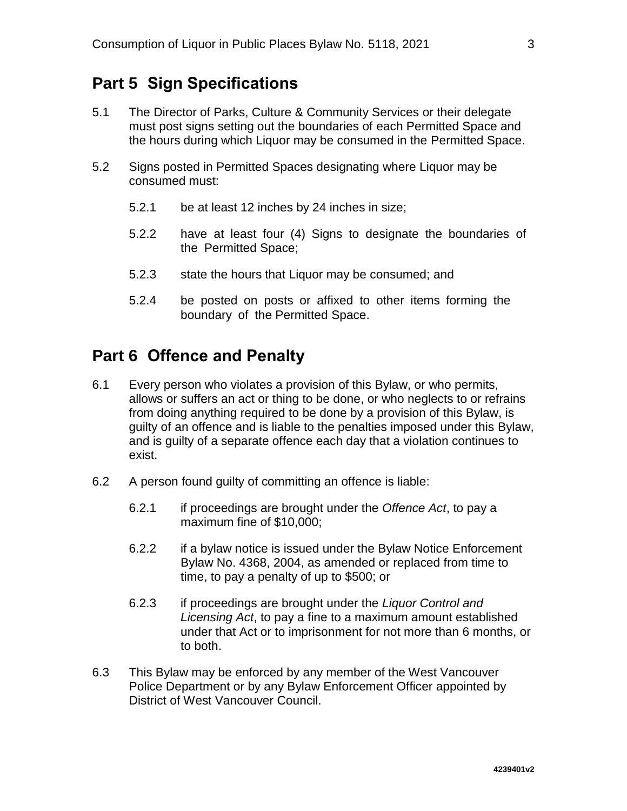### <span id="page-4-0"></span>**Part 5 Sign Specifications**

- 5.1 The Director of Parks, Culture & Community Services or their delegate must post signs setting out the boundaries of each Permitted Space and the hours during which Liquor may be consumed in the Permitted Space.
- 5.2 Signs posted in Permitted Spaces designating where Liquor may be consumed must:
	- 5.2.1 be at least 12 inches by 24 inches in size;
	- 5.2.2 have at least four (4) Signs to designate the boundaries of the Permitted Space;
	- 5.2.3 state the hours that Liquor may be consumed; and
	- 5.2.4 be posted on posts or affixed to other items forming the boundary of the Permitted Space.

### <span id="page-4-1"></span>**Part 6 Offence and Penalty**

- 6.1 Every person who violates a provision of this Bylaw, or who permits, allows or suffers an act or thing to be done, or who neglects to or refrains from doing anything required to be done by a provision of this Bylaw, is guilty of an offence and is liable to the penalties imposed under this Bylaw, and is guilty of a separate offence each day that a violation continues to exist.
- 6.2 A person found guilty of committing an offence is liable:
	- 6.2.1 if proceedings are brought under the *Offence Act*, to pay a maximum fine of \$10,000;
	- 6.2.2 if a bylaw notice is issued under the Bylaw Notice Enforcement Bylaw No. 4368, 2004, as amended or replaced from time to time, to pay a penalty of up to \$500; or
	- 6.2.3 if proceedings are brought under the *Liquor Control and Licensing Act*, to pay a fine to a maximum amount established under that Act or to imprisonment for not more than 6 months, or to both.
- 6.3 This Bylaw may be enforced by any member of the West Vancouver Police Department or by any Bylaw Enforcement Officer appointed by District of West Vancouver Council.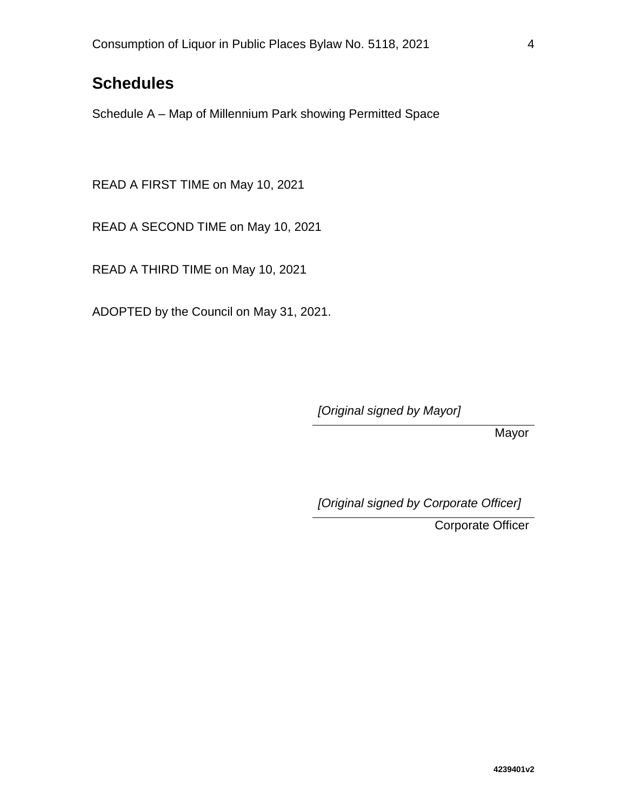### **Schedules**

Schedule A – Map of Millennium Park showing Permitted Space

READ A FIRST TIME on May 10, 2021

READ A SECOND TIME on May 10, 2021

READ A THIRD TIME on May 10, 2021

ADOPTED by the Council on May 31, 2021.

*[Original signed by Mayor]*

Mayor

*[Original signed by Corporate Officer]*

Corporate Officer